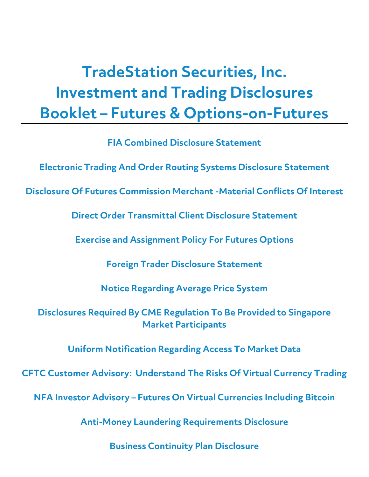# **TradeStation Securities, Inc. Investment and Trading Disclosures Booklet – Futures & Options-on-Futures**

**[FIA Combined Disclosure Statement](#page-1-0)**

**[Electronic Trading And Order Routing Systems Disclosure Statement](#page-7-0)**

**[Disclosure Of Futures Commission Merchant](#page-9-0) -Material Conflicts Of Interest**

**[Direct Order Transmittal Client Disclosure Statement](#page-12-0)**

**[Exercise and Assignment Policy For Futures Options](#page-14-0)**

**[Foreign Trader Disclosure Statement](#page-15-0)**

**[Notice Regarding Average Price System](#page-17-0)**

**[Disclosures Required By CME Regulation To Be Provided to Singapore](#page-19-0)  Market Participants**

**[Uniform Notification Regarding Access To Market Data](#page-20-0)**

**[CFTC Customer Advisory: Understand The Risks Of Virtual Currency Trading](#page-22-0)**

**NFA Investor Advisory – [Futures On Virtual Currencies Including Bitcoin](#page-24-0)**

**[Anti-Money Laundering Requirements Disclosure](#page-26-0)**

**[Business Continuity Plan Disclosure](#page-27-0)**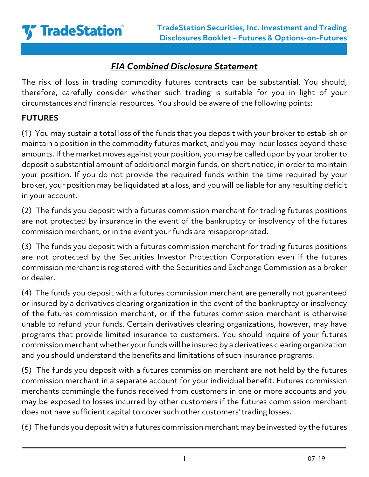# *FIA Combined Disclosure Statement*

<span id="page-1-0"></span>The risk of loss in trading commodity futures contracts can be substantial. You should, therefore, carefully consider whether such trading is suitable for you in light of your circumstances and financial resources. You should be aware of the following points:

### **FUTURES**

(1) You may sustain a total loss of the funds that you deposit with your broker to establish or maintain a position in the commodity futures market, and you may incur losses beyond these amounts. If the market moves against your position, you may be called upon by your broker to deposit a substantial amount of additional margin funds, on short notice, in order to maintain your position. If you do not provide the required funds within the time required by your broker, your position may be liquidated at a loss, and you will be liable for any resulting deficit in your account.

(2) The funds you deposit with a futures commission merchant for trading futures positions are not protected by insurance in the event of the bankruptcy or insolvency of the futures commission merchant, or in the event your funds are misappropriated.

(3) The funds you deposit with a futures commission merchant for trading futures positions are not protected by the Securities Investor Protection Corporation even if the futures commission merchant is registered with the Securities and Exchange Commission as a broker or dealer.

(4) The funds you deposit with a futures commission merchant are generally not guaranteed or insured by a derivatives clearing organization in the event of the bankruptcy or insolvency of the futures commission merchant, or if the futures commission merchant is otherwise unable to refund your funds. Certain derivatives clearing organizations, however, may have programs that provide limited insurance to customers. You should inquire of your futures commission merchant whether your funds will be insured by a derivatives clearing organization and you should understand the benefits and limitations of such insurance programs.

(5) The funds you deposit with a futures commission merchant are not held by the futures commission merchant in a separate account for your individual benefit. Futures commission merchants commingle the funds received from customers in one or more accounts and you may be exposed to losses incurred by other customers if the futures commission merchant does not have sufficient capital to cover such other customers' trading losses.

(6) The funds you deposit with a futures commission merchant may be invested by the futures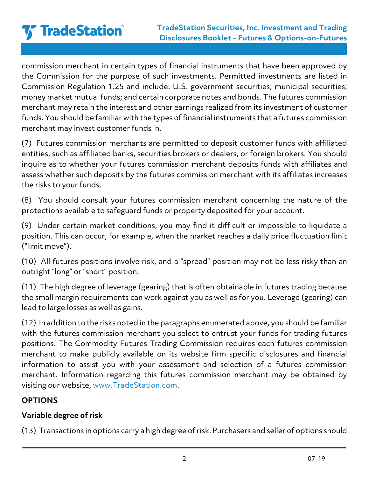commission merchant in certain types of financial instruments that have been approved by the Commission for the purpose of such investments. Permitted investments are listed in Commission Regulation 1.25 and include: U.S. government securities; municipal securities; money market mutual funds; and certain corporate notes and bonds. The futures commission merchant may retain the interest and other earnings realized from its investment of customer funds. You should be familiar with the types of financial instruments that a futures commission merchant may invest customer funds in.

(7) Futures commission merchants are permitted to deposit customer funds with affiliated entities, such as affiliated banks, securities brokers or dealers, or foreign brokers. You should inquire as to whether your futures commission merchant deposits funds with affiliates and assess whether such deposits by the futures commission merchant with its affiliates increases the risks to your funds.

(8) You should consult your futures commission merchant concerning the nature of the protections available to safeguard funds or property deposited for your account.

(9) Under certain market conditions, you may find it difficult or impossible to liquidate a position. This can occur, for example, when the market reaches a daily price fluctuation limit ("limit move").

(10) All futures positions involve risk, and a "spread" position may not be less risky than an outright "long" or "short" position.

(11) The high degree of leverage (gearing) that is often obtainable in futures trading because the small margin requirements can work against you as well as for you. Leverage (gearing) can lead to large losses as well as gains.

(12) In addition to the risks noted in the paragraphs enumerated above, you should be familiar with the futures commission merchant you select to entrust your funds for trading futures positions. The Commodity Futures Trading Commission requires each futures commission merchant to make publicly available on its website firm specific disclosures and financial information to assist you with your assessment and selection of a futures commission merchant. Information regarding this futures commission merchant may be obtained by visiting our website, www.TradeStation.com.

# **OPTIONS**

# **Variable degree of risk**

(13) Transactions in options carry a high degree of risk. Purchasers and seller of options should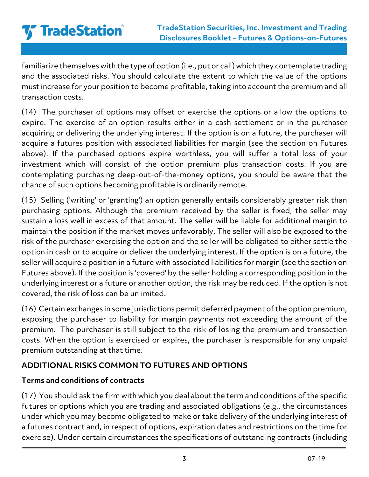familiarize themselves with the type of option (i.e., put or call) which they contemplate trading and the associated risks. You should calculate the extent to which the value of the options must increase for your position to become profitable, taking into account the premium and all transaction costs.

(14) The purchaser of options may offset or exercise the options or allow the options to expire. The exercise of an option results either in a cash settlement or in the purchaser acquiring or delivering the underlying interest. If the option is on a future, the purchaser will acquire a futures position with associated liabilities for margin (see the section on Futures above). If the purchased options expire worthless, you will suffer a total loss of your investment which will consist of the option premium plus transaction costs. If you are contemplating purchasing deep-out-of-the-money options, you should be aware that the chance of such options becoming profitable is ordinarily remote.

(15) Selling ('writing' or 'granting') an option generally entails considerably greater risk than purchasing options. Although the premium received by the seller is fixed, the seller may sustain a loss well in excess of that amount. The seller will be liable for additional margin to maintain the position if the market moves unfavorably. The seller will also be exposed to the risk of the purchaser exercising the option and the seller will be obligated to either settle the option in cash or to acquire or deliver the underlying interest. If the option is on a future, the seller will acquire a position in a future with associated liabilities for margin (see the section on Futures above). If the position is 'covered' by the seller holding a corresponding position in the underlying interest or a future or another option, the risk may be reduced. If the option is not covered, the risk of loss can be unlimited.

(16) Certain exchanges in some jurisdictions permit deferred payment of the option premium, exposing the purchaser to liability for margin payments not exceeding the amount of the premium. The purchaser is still subject to the risk of losing the premium and transaction costs. When the option is exercised or expires, the purchaser is responsible for any unpaid premium outstanding at that time.

### **ADDITIONAL RISKS COMMON TO FUTURES AND OPTIONS**

### **Terms and conditions of contracts**

(17) You should ask the firm with which you deal about the term and conditions of the specific futures or options which you are trading and associated obligations (e.g., the circumstances under which you may become obligated to make or take delivery of the underlying interest of a futures contract and, in respect of options, expiration dates and restrictions on the time for exercise). Under certain circumstances the specifications of outstanding contracts (including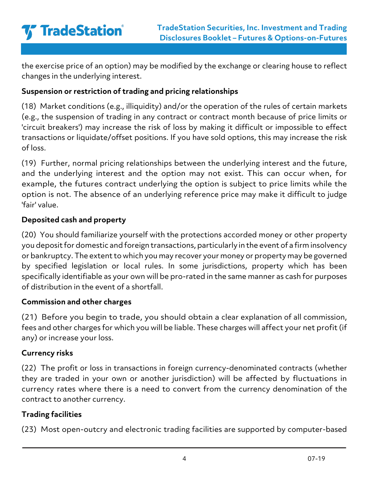the exercise price of an option) may be modified by the exchange or clearing house to reflect changes in the underlying interest.

#### **Suspension or restriction of trading and pricing relationships**

(18) Market conditions (e.g., illiquidity) and/or the operation of the rules of certain markets (e.g., the suspension of trading in any contract or contract month because of price limits or 'circuit breakers') may increase the risk of loss by making it difficult or impossible to effect transactions or liquidate/offset positions. If you have sold options, this may increase the risk of loss.

(19) Further, normal pricing relationships between the underlying interest and the future, and the underlying interest and the option may not exist. This can occur when, for example, the futures contract underlying the option is subject to price limits while the option is not. The absence of an underlying reference price may make it difficult to judge 'fair' value.

#### **Deposited cash and property**

(20) You should familiarize yourself with the protections accorded money or other property you deposit for domestic and foreign transactions, particularly in the event of a firm insolvency or bankruptcy. The extent to which you may recover your money or property may be governed by specified legislation or local rules. In some jurisdictions, property which has been specifically identifiable as your own will be pro-rated in the same manner as cash for purposes of distribution in the event of a shortfall.

#### **Commission and other charges**

(21) Before you begin to trade, you should obtain a clear explanation of all commission, fees and other charges for which you will be liable. These charges will affect your net profit (if any) or increase your loss.

### **Currency risks**

(22) The profit or loss in transactions in foreign currency-denominated contracts (whether they are traded in your own or another jurisdiction) will be affected by fluctuations in currency rates where there is a need to convert from the currency denomination of the contract to another currency.

### **Trading facilities**

(23) Most open-outcry and electronic trading facilities are supported by computer-based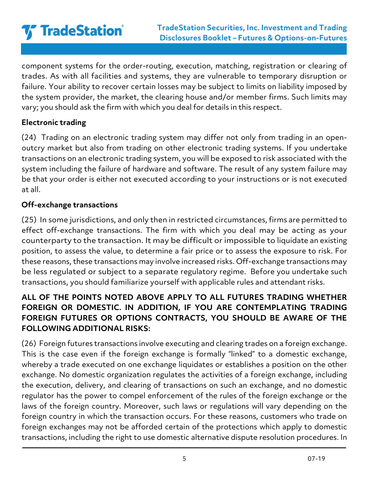component systems for the order-routing, execution, matching, registration or clearing of trades. As with all facilities and systems, they are vulnerable to temporary disruption or failure. Your ability to recover certain losses may be subject to limits on liability imposed by the system provider, the market, the clearing house and/or member firms. Such limits may vary; you should ask the firm with which you deal for details in this respect.

### **Electronic trading**

(24) Trading on an electronic trading system may differ not only from trading in an openoutcry market but also from trading on other electronic trading systems. If you undertake transactions on an electronic trading system, you will be exposed to risk associated with the system including the failure of hardware and software. The result of any system failure may be that your order is either not executed according to your instructions or is not executed at all.

### **Off-exchange transactions**

(25) In some jurisdictions, and only then in restricted circumstances, firms are permitted to effect off-exchange transactions. The firm with which you deal may be acting as your counterparty to the transaction. It may be difficult or impossible to liquidate an existing position, to assess the value, to determine a fair price or to assess the exposure to risk. For these reasons, these transactions may involve increased risks. Off-exchange transactions may be less regulated or subject to a separate regulatory regime. Before you undertake such transactions, you should familiarize yourself with applicable rules and attendant risks.

### **ALL OF THE POINTS NOTED ABOVE APPLY TO ALL FUTURES TRADING WHETHER FOREIGN OR DOMESTIC. IN ADDITION, IF YOU ARE CONTEMPLATING TRADING FOREIGN FUTURES OR OPTIONS CONTRACTS, YOU SHOULD BE AWARE OF THE FOLLOWING ADDITIONAL RISKS:**

(26) Foreign futures transactions involve executing and clearing trades on a foreign exchange. This is the case even if the foreign exchange is formally "linked" to a domestic exchange, whereby a trade executed on one exchange liquidates or establishes a position on the other exchange. No domestic organization regulates the activities of a foreign exchange, including the execution, delivery, and clearing of transactions on such an exchange, and no domestic regulator has the power to compel enforcement of the rules of the foreign exchange or the laws of the foreign country. Moreover, such laws or regulations will vary depending on the foreign country in which the transaction occurs. For these reasons, customers who trade on foreign exchanges may not be afforded certain of the protections which apply to domestic transactions, including the right to use domestic alternative dispute resolution procedures. In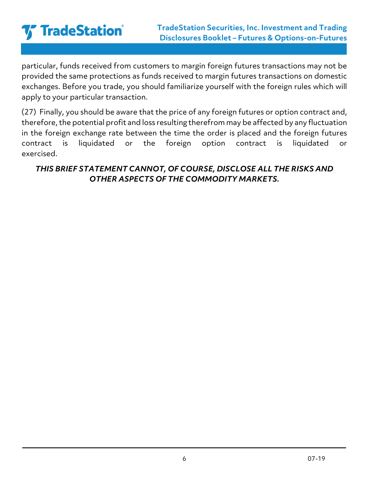particular, funds received from customers to margin foreign futures transactions may not be provided the same protections as funds received to margin futures transactions on domestic exchanges. Before you trade, you should familiarize yourself with the foreign rules which will apply to your particular transaction.

(27) Finally, you should be aware that the price of any foreign futures or option contract and, therefore, the potential profit and loss resulting therefrom may be affected by any fluctuation in the foreign exchange rate between the time the order is placed and the foreign futures contract is liquidated or the foreign option contract is liquidated or exercised.

### *THIS BRIEF STATEMENT CANNOT, OF COURSE, DISCLOSE ALL THE RISKS AND OTHER ASPECTS OF THE COMMODITY MARKETS.*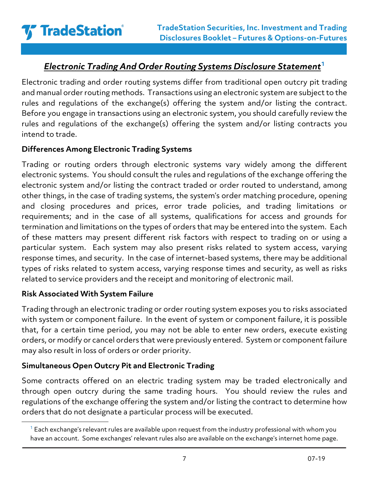# <span id="page-7-0"></span>*Electronic Trading And Order Routing Systems Disclosure Statement***[1](#page-7-1)**

Electronic trading and order routing systems differ from traditional open outcry pit trading and manual order routing methods. Transactions using an electronic system are subject to the rules and regulations of the exchange(s) offering the system and/or listing the contract. Before you engage in transactions using an electronic system, you should carefully review the rules and regulations of the exchange(s) offering the system and/or listing contracts you intend to trade.

### **Differences Among Electronic Trading Systems**

Trading or routing orders through electronic systems vary widely among the different electronic systems. You should consult the rules and regulations of the exchange offering the electronic system and/or listing the contract traded or order routed to understand, among other things, in the case of trading systems, the system's order matching procedure, opening and closing procedures and prices, error trade policies, and trading limitations or requirements; and in the case of all systems, qualifications for access and grounds for termination and limitations on the types of orders that may be entered into the system. Each of these matters may present different risk factors with respect to trading on or using a particular system. Each system may also present risks related to system access, varying response times, and security. In the case of internet-based systems, there may be additional types of risks related to system access, varying response times and security, as well as risks related to service providers and the receipt and monitoring of electronic mail.

### **Risk Associated With System Failure**

<span id="page-7-1"></span> $\overline{a}$ 

Trading through an electronic trading or order routing system exposes you to risks associated with system or component failure. In the event of system or component failure, it is possible that, for a certain time period, you may not be able to enter new orders, execute existing orders, or modify or cancel orders that were previously entered. System or component failure may also result in loss of orders or order priority.

### **Simultaneous Open Outcry Pit and Electronic Trading**

Some contracts offered on an electric trading system may be traded electronically and through open outcry during the same trading hours. You should review the rules and regulations of the exchange offering the system and/or listing the contract to determine how orders that do not designate a particular process will be executed.

 $1$  Each exchange's relevant rules are available upon request from the industry professional with whom you have an account. Some exchanges' relevant rules also are available on the exchange's internet home page.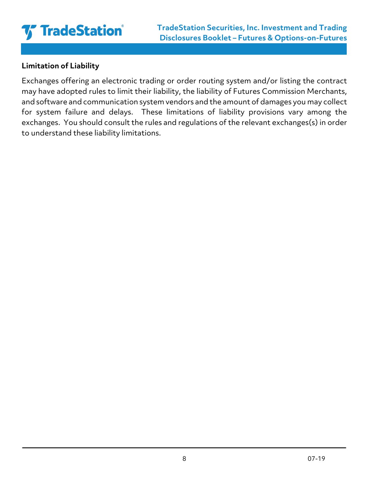### **Limitation of Liability**

Exchanges offering an electronic trading or order routing system and/or listing the contract may have adopted rules to limit their liability, the liability of Futures Commission Merchants, and software and communication system vendors and the amount of damages you may collect for system failure and delays. These limitations of liability provisions vary among the exchanges. You should consult the rules and regulations of the relevant exchanges(s) in order to understand these liability limitations.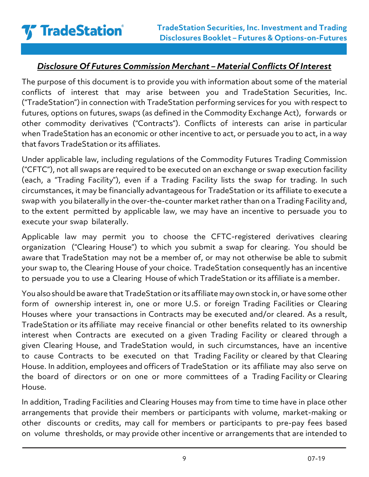### <span id="page-9-0"></span>*Disclosure Of Futures Commission Merchant – Material Conflicts Of Interest*

The purpose of this document is to provide you with information about some of the material conflicts of interest that may arise between you and TradeStation Securities, Inc. ("TradeStation") in connection with TradeStation performing services for you with respect to futures, options on futures, swaps (as defined in the Commodity Exchange Act), forwards or other commodity derivatives ("Contracts"). Conflicts of interests can arise in particular when TradeStation has an economic or other incentive to act, or persuade you to act, in a way that favors TradeStation or its affiliates.

Under applicable law, including regulations of the Commodity Futures Trading Commission ("CFTC"), not all swaps are required to be executed on an exchange or swap execution facility (each, a "Trading Facility"), even if a Trading Facility lists the swap for trading. In such circumstances, it may be financially advantageous for TradeStation or its affiliate to execute a swap with you bilaterally in the over-the-counter market rather than on a Trading Facility and, to the extent permitted by applicable law, we may have an incentive to persuade you to execute your swap bilaterally.

Applicable law may permit you to choose the CFTC-registered derivatives clearing organization ("Clearing House") to which you submit a swap for clearing. You should be aware that TradeStation may not be a member of, or may not otherwise be able to submit your swap to, the Clearing House of your choice. TradeStation consequently has an incentive to persuade you to use a Clearing House of which TradeStation or its affiliate is a member.

You also should be aware that TradeStation or its affiliatemayown stock in, or have some other form of ownership interest in, one or more U.S. or foreign Trading Facilities or Clearing Houses where your transactions in Contracts may be executed and/or cleared. As a result, TradeStation or its affiliate may receive financial or other benefits related to its ownership interest when Contracts are executed on a given Trading Facility or cleared through a given Clearing House, and TradeStation would, in such circumstances, have an incentive to cause Contracts to be executed on that Trading Facility or cleared by that Clearing House. In addition, employees and officers of TradeStation or its affiliate may also serve on the board of directors or on one or more committees of a Trading Facility or Clearing House.

In addition, Trading Facilities and Clearing Houses may from time to time have in place other arrangements that provide their members or participants with volume, market-making or other discounts or credits, may call for members or participants to pre-pay fees based on volume thresholds, or may provide other incentive or arrangements that are intended to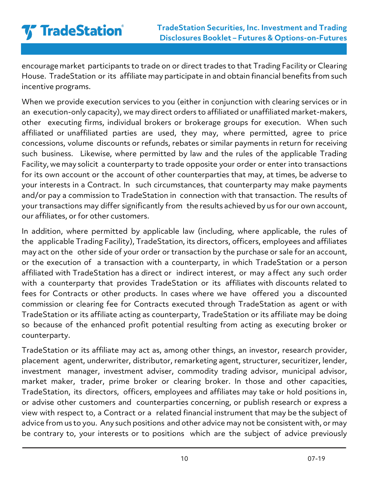encouragemarket participants to trade on or direct trades to that Trading Facility or Clearing House. TradeStation or its affiliate may participate in and obtain financial benefits from such incentive programs.

When we provide execution services to you (either in conjunction with clearing services or in an execution-only capacity), we may direct orders to affiliated or unaffiliated market-makers, other executing firms, individual brokers or brokerage groups for execution. When such affiliated or unaffiliated parties are used, they may, where permitted, agree to price concessions, volume discounts or refunds, rebates or similar payments in return for receiving such business. Likewise, where permitted by law and the rules of the applicable Trading Facility, we may solicit a counterparty to trade opposite your order or enter into transactions for its own account or the account of other counterparties that may, at times, be adverse to your interests in a Contract. In such circumstances, that counterparty may make payments and/or pay a commission to TradeStation in connection with that transaction. The results of your transactions may differ significantly from the results achieved by us for our own account, our affiliates, or for other customers.

In addition, where permitted by applicable law (including, where applicable, the rules of the applicable Trading Facility), TradeStation, its directors, officers, employees and affiliates may act on the other side of your order or transaction by the purchase or sale for an account, or the execution of a transaction with a counterparty, in which TradeStation or a person affiliated with TradeStation has a direct or indirect interest, or may a ffect any such order with a counterparty that provides TradeStation or its affiliates with discounts related to fees for Contracts or other products. In cases where we have offered you a discounted commission or clearing fee for Contracts executed through TradeStation as agent or with TradeStation or its affiliate acting as counterparty, TradeStation or its affiliate may be doing so because of the enhanced profit potential resulting from acting as executing broker or counterparty.

TradeStation or its affiliate may act as, among other things, an investor, research provider, placement agent, underwriter, distributor, remarketing agent, structurer, securitizer, lender, investment manager, investment adviser, commodity trading advisor, municipal advisor, market maker, trader, prime broker or clearing broker. In those and other capacities, TradeStation, its directors, officers, employees and affiliates may take or hold positions in, or advise other customers and counterparties concerning, or publish research or express a view with respect to, a Contract or a related financial instrument that may be the subject of advice from us to you. Any such positions and other advice may not be consistent with, or may be contrary to, your interests or to positions which are the subject of advice previously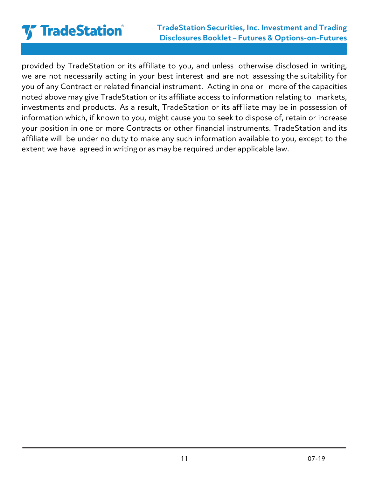provided by TradeStation or its affiliate to you, and unless otherwise disclosed in writing, we are not necessarily acting in your best interest and are not assessing the suitability for you of any Contract or related financial instrument. Acting in one or more of the capacities noted above may give TradeStation or its affiliate access to information relating to markets, investments and products. As a result, TradeStation or its affiliate may be in possession of information which, if known to you, might cause you to seek to dispose of, retain or increase your position in one or more Contracts or other financial instruments. TradeStation and its affiliate will be under no duty to make any such information available to you, except to the extent we have agreed in writing or as may be required under applicable law.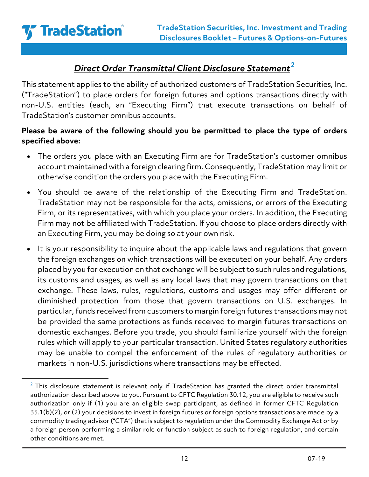<span id="page-12-1"></span> $\overline{a}$ 

# *Direct Order Transmittal Client Disclosure Statement[2](#page-12-1)*

<span id="page-12-0"></span>This statement applies to the ability of authorized customers of TradeStation Securities, Inc. ("TradeStation") to place orders for foreign futures and options transactions directly with non-U.S. entities (each, an "Executing Firm") that execute transactions on behalf of TradeStation's customer omnibus accounts.

### **Please be aware of the following should you be permitted to place the type of orders specified above:**

- The orders you place with an Executing Firm are for TradeStation's customer omnibus account maintained with a foreign clearing firm. Consequently, TradeStation may limit or otherwise condition the orders you place with the Executing Firm.
- You should be aware of the relationship of the Executing Firm and TradeStation. TradeStation may not be responsible for the acts, omissions, or errors of the Executing Firm, or its representatives, with which you place your orders. In addition, the Executing Firm may not be affiliated with TradeStation. If you choose to place orders directly with an Executing Firm, you may be doing so at your own risk.
- It is your responsibility to inquire about the applicable laws and regulations that govern the foreign exchanges on which transactions will be executed on your behalf. Any orders placed by you for execution on that exchange will be subject to such rules and regulations, its customs and usages, as well as any local laws that may govern transactions on that exchange. These laws, rules, regulations, customs and usages may offer different or diminished protection from those that govern transactions on U.S. exchanges. In particular, funds received from customers to margin foreign futures transactions may not be provided the same protections as funds received to margin futures transactions on domestic exchanges. Before you trade, you should familiarize yourself with the foreign rules which will apply to your particular transaction. United States regulatory authorities may be unable to compel the enforcement of the rules of regulatory authorities or markets in non-U.S. jurisdictions where transactions may be effected.

 $2$  This disclosure statement is relevant only if TradeStation has granted the direct order transmittal authorization described above to you. Pursuant to CFTC Regulation 30.12, you are eligible to receive such authorization only if (1) you are an eligible swap participant, as defined in former CFTC Regulation 35.1(b)(2), or (2) your decisions to invest in foreign futures or foreign options transactions are made by a commodity trading advisor ("CTA") that is subject to regulation under the Commodity Exchange Act or by a foreign person performing a similar role or function subject as such to foreign regulation, and certain other conditions are met.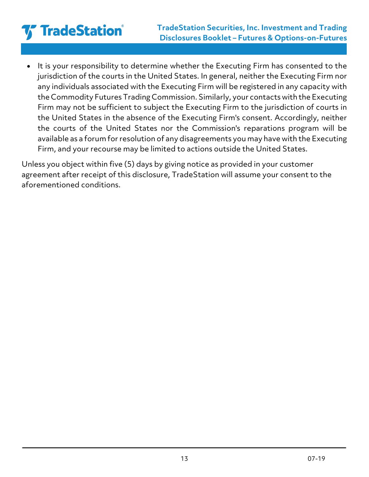• It is your responsibility to determine whether the Executing Firm has consented to the jurisdiction of the courts in the United States. In general, neither the Executing Firm nor any individuals associated with the Executing Firm will be registered in any capacity with the Commodity Futures Trading Commission. Similarly, your contacts with the Executing Firm may not be sufficient to subject the Executing Firm to the jurisdiction of courts in the United States in the absence of the Executing Firm's consent. Accordingly, neither the courts of the United States nor the Commission's reparations program will be available as a forum for resolution of any disagreements you may have with the Executing Firm, and your recourse may be limited to actions outside the United States.

Unless you object within five (5) days by giving notice as provided in your customer agreement after receipt of this disclosure, TradeStation will assume your consent to the aforementioned conditions.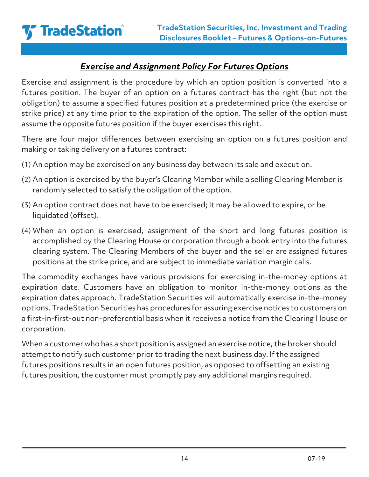## *Exercise and Assignment Policy For Futures Options*

<span id="page-14-0"></span>Exercise and assignment is the procedure by which an option position is converted into a futures position. The buyer of an option on a futures contract has the right (but not the obligation) to assume a specified futures position at a predetermined price (the exercise or strike price) at any time prior to the expiration of the option. The seller of the option must assume the opposite futures position if the buyer exercises this right.

There are four major differences between exercising an option on a futures position and making or taking delivery on a futures contract:

- (1) An option may be exercised on any business day between its sale and execution.
- (2) An option is exercised by the buyer's Clearing Member while a selling Clearing Member is randomly selected to satisfy the obligation of the option.
- (3) An option contract does not have to be exercised; it may be allowed to expire, or be liquidated (offset).
- (4) When an option is exercised, assignment of the short and long futures position is accomplished by the Clearing House or corporation through a book entry into the futures clearing system. The Clearing Members of the buyer and the seller are assigned futures positions at the strike price, and are subject to immediate variation margin calls.

The commodity exchanges have various provisions for exercising in-the-money options at expiration date. Customers have an obligation to monitor in-the-money options as the expiration dates approach. TradeStation Securities will automatically exercise in-the-money options. TradeStation Securities has procedures for assuring exercise notices to customers on a first-in-first-out non-preferential basis when it receives a notice from the Clearing House or corporation.

When a customer who has a short position is assigned an exercise notice, the broker should attempt to notify such customer prior to trading the next business day. If the assigned futures positions results in an open futures position, as opposed to offsetting an existing futures position, the customer must promptly pay any additional margins required.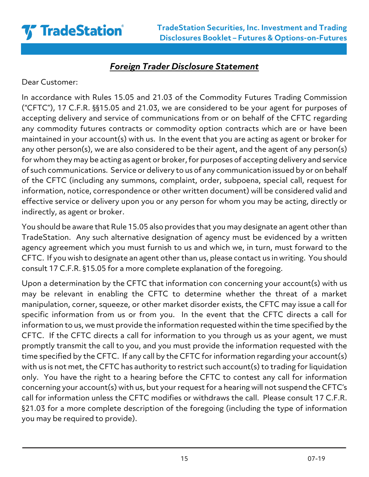<span id="page-15-0"></span>

### *Foreign Trader Disclosure Statement*

Dear Customer:

In accordance with Rules 15.05 and 21.03 of the Commodity Futures Trading Commission ("CFTC"), 17 C.F.R. §§15.05 and 21.03, we are considered to be your agent for purposes of accepting delivery and service of communications from or on behalf of the CFTC regarding any commodity futures contracts or commodity option contracts which are or have been maintained in your account(s) with us. In the event that you are acting as agent or broker for any other person(s), we are also considered to be their agent, and the agent of any person(s) for whom they may be acting as agent or broker, for purposes of accepting delivery and service of such communications. Service or delivery to us of any communication issued by or on behalf of the CFTC (including any summons, complaint, order, subpoena, special call, request for information, notice, correspondence or other written document) will be considered valid and effective service or delivery upon you or any person for whom you may be acting, directly or indirectly, as agent or broker.

You should be aware that Rule 15.05 also provides that you may designate an agent other than TradeStation. Any such alternative designation of agency must be evidenced by a written agency agreement which you must furnish to us and which we, in turn, must forward to the CFTC. If you wish to designate an agent other than us, please contact us in writing. You should consult 17 C.F.R. §15.05 for a more complete explanation of the foregoing.

Upon a determination by the CFTC that information con concerning your account(s) with us may be relevant in enabling the CFTC to determine whether the threat of a market manipulation, corner, squeeze, or other market disorder exists, the CFTC may issue a call for specific information from us or from you. In the event that the CFTC directs a call for information to us, we must provide the information requested within the time specified by the CFTC. If the CFTC directs a call for information to you through us as your agent, we must promptly transmit the call to you, and you must provide the information requested with the time specified by the CFTC. If any call by the CFTC for information regarding your account(s) with us is not met, the CFTC has authority to restrict such account(s) to trading for liquidation only. You have the right to a hearing before the CFTC to contest any call for information concerning your account(s) with us, but your request for a hearing will not suspend the CFTC's call for information unless the CFTC modifies or withdraws the call. Please consult 17 C.F.R. §21.03 for a more complete description of the foregoing (including the type of information you may be required to provide).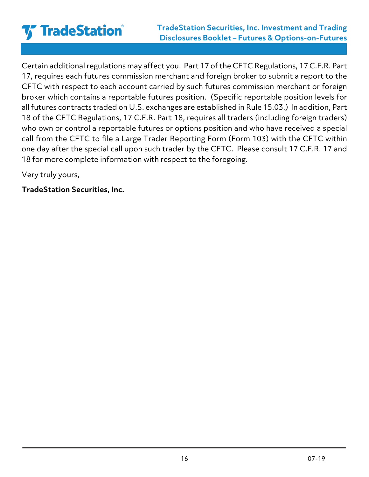Certain additional regulations may affect you. Part 17 of the CFTC Regulations, 17 C.F.R. Part 17, requires each futures commission merchant and foreign broker to submit a report to the CFTC with respect to each account carried by such futures commission merchant or foreign broker which contains a reportable futures position. (Specific reportable position levels for all futures contracts traded on U.S. exchanges are established in Rule 15.03.) In addition, Part 18 of the CFTC Regulations, 17 C.F.R. Part 18, requires all traders (including foreign traders) who own or control a reportable futures or options position and who have received a special call from the CFTC to file a Large Trader Reporting Form (Form 103) with the CFTC within one day after the special call upon such trader by the CFTC. Please consult 17 C.F.R. 17 and 18 for more complete information with respect to the foregoing.

Very truly yours,

### **TradeStation Securities, Inc.**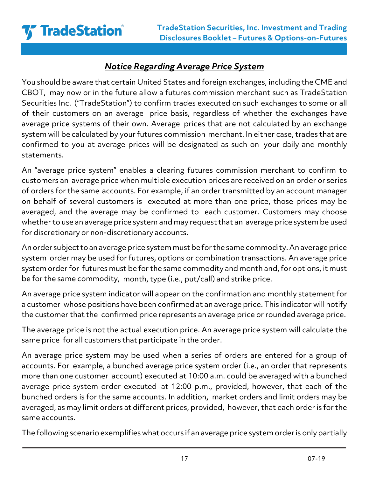# *Notice Regarding Average Price System*

<span id="page-17-0"></span>You should be aware that certain United States and foreign exchanges, including the CME and CBOT, may now or in the future allow a futures commission merchant such as TradeStation Securities Inc. ("TradeStation") to confirm trades executed on such exchanges to some or all of their customers on an average price basis, regardless of whether the exchanges have average price systems of their own. Average prices that are not calculated by an exchange system will be calculated by your futures commission merchant. In either case, trades that are confirmed to you at average prices will be designated as such on your daily and monthly statements.

An "average price system" enables a clearing futures commission merchant to confirm to customers an average price when multiple execution prices are received on an order or series of orders for the same accounts. For example, if an order transmitted by an account manager on behalf of several customers is executed at more than one price, those prices may be averaged, and the average may be confirmed to each customer. Customers may choose whether to use an average price system and may request that an average price system be used for discretionary or non-discretionary accounts.

An order subject to an average price system must be for the same commodity. An average price system order may be used for futures, options or combination transactions. An average price system order for futures must be for the same commodity and month and, for options, it must be for the same commodity, month, type (i.e., put/call) and strike price.

An average price system indicator will appear on the confirmation and monthly statement for a customer whose positions have been confirmed at an average price. This indicator will notify the customer that the confirmed price represents an average price or rounded average price.

The average price is not the actual execution price. An average price system will calculate the same price for all customers that participate in the order.

An average price system may be used when a series of orders are entered for a group of accounts. For example, a bunched average price system order (i.e., an order that represents more than one customer account) executed at 10:00 a.m. could be averaged with a bunched average price system order executed at 12:00 p.m., provided, however, that each of the bunched orders is for the same accounts. In addition, market orders and limit orders may be averaged, as may limit orders at different prices, provided, however, that each order is for the same accounts.

The following scenario exemplifies what occurs if an average price system order is onlypartially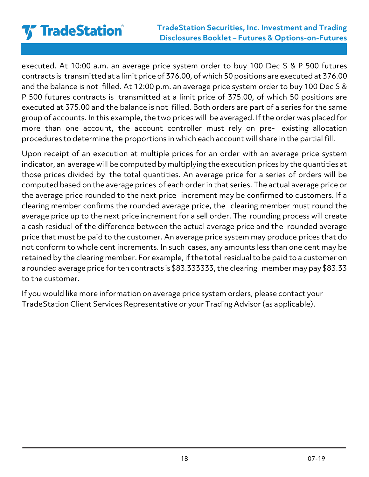executed. At 10:00 a.m. an average price system order to buy 100 Dec S & P 500 futures contracts is transmitted at a limit price of 376.00, of which 50 positions are executed at 376.00 and the balance is not filled. At 12:00 p.m. an average price system order to buy 100 Dec S & P 500 futures contracts is transmitted at a limit price of 375.00, of which 50 positions are executed at 375.00 and the balance is not filled. Both orders are part of a series for the same group of accounts. In this example, the two prices will be averaged. If the order was placed for more than one account, the account controller must rely on pre- existing allocation procedures to determine the proportions in which each account will share in the partial fill.

Upon receipt of an execution at multiple prices for an order with an average price system indicator, an average will be computed by multiplying the execution prices by the quantities at those prices divided by the total quantities. An average price for a series of orders will be computed based on the average prices of each order in that series. The actual average price or the average price rounded to the next price increment may be confirmed to customers. If a clearing member confirms the rounded average price, the clearing member must round the average price up to the next price increment for a sell order. The rounding process will create a cash residual of the difference between the actual average price and the rounded average price that must be paid to the customer. An average price system may produce prices that do not conform to whole cent increments. In such cases, any amounts less than one cent may be retained by the clearing member. For example, if the total residual to be paid to a customer on a rounded average price for ten contracts is \$83.333333, the clearing membermaypay \$83.33 to the customer.

If you would like more information on average price system orders, please contact your TradeStation Client Services Representative or your Trading Advisor (as applicable).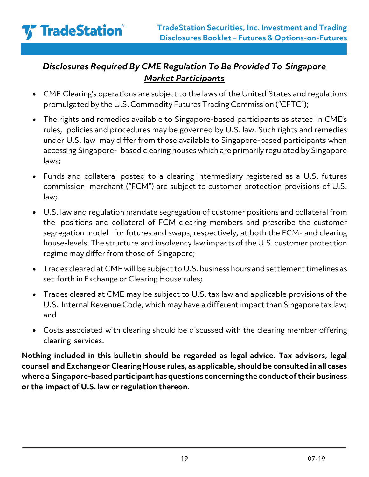# <span id="page-19-0"></span>*Disclosures Required By CME Regulation To Be Provided To Singapore Market Participants*

- CME Clearing's operations are subject to the laws of the United States and regulations promulgated by the U.S. Commodity Futures Trading Commission ("CFTC");
- The rights and remedies available to Singapore-based participants as stated in CME's rules, policies and procedures may be governed by U.S. law. Such rights and remedies under U.S. law may differ from those available to Singapore-based participants when accessing Singapore- based clearing houses which are primarily regulated by Singapore laws;
- Funds and collateral posted to a clearing intermediary registered as a U.S. futures commission merchant ("FCM") are subject to customer protection provisions of U.S. law;
- U.S. law and regulation mandate segregation of customer positions and collateral from the positions and collateral of FCM clearing members and prescribe the customer segregation model for futures and swaps, respectively, at both the FCM- and clearing house-levels. The structure and insolvency law impacts of the U.S. customer protection regime may differ from those of Singapore;
- Trades cleared at CME will be subject to U.S. business hours and settlement timelines as set forth in Exchange or Clearing House rules;
- Trades cleared at CME may be subject to U.S. tax law and applicable provisions of the U.S. Internal Revenue Code, which may have a different impact than Singapore tax law; and
- Costs associated with clearing should be discussed with the clearing member offering clearing services.

**Nothing included in this bulletin should be regarded as legal advice. Tax advisors, legal counsel and Exchange or Clearing House rules, as applicable, should be consulted in all cases where a Singapore-basedparticipanthasquestions concerning the conductof theirbusiness or the impact of U.S. law or regulation thereon.**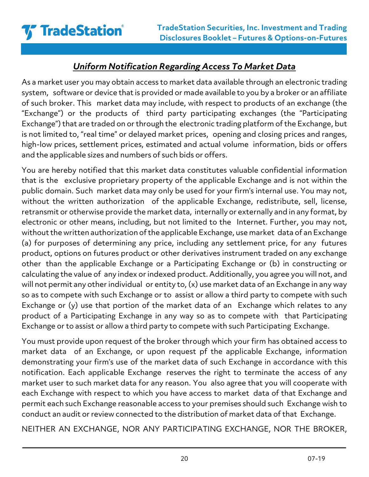# *Uniform Notification Regarding Access To Market Data*

<span id="page-20-0"></span>As a market user you may obtain access to market data available through an electronic trading system, software or device that is provided or made available to you by a broker or an affiliate of such broker. This market data may include, with respect to products of an exchange (the "Exchange") or the products of third party participating exchanges (the "Participating Exchange") that are traded on or through the electronic trading platform of the Exchange, but is not limited to, "real time" or delayed market prices, opening and closing prices and ranges, high-low prices, settlement prices, estimated and actual volume information, bids or offers and the applicable sizes and numbers of such bids or offers.

You are hereby notified that this market data constitutes valuable confidential information that is the exclusive proprietary property of the applicable Exchange and is not within the public domain. Such market data may only be used for your firm's internal use. You may not, without the written authorization of the applicable Exchange, redistribute, sell, license, retransmit or otherwise provide the market data, internally or externally and in any format, by electronic or other means, including, but not limited to the Internet. Further, you may not, without the written authorization of the applicable Exchange, use market data of an Exchange (a) for purposes of determining any price, including any settlement price, for any futures product, options on futures product or other derivatives instrument traded on any exchange other than the applicable Exchange or a Participating Exchange or (b) in constructing or calculating the value of any index or indexed product. Additionally, you agree you will not, and will not permit any other individual or entity to, (x) use market data of an Exchange in any way so as to compete with such Exchange or to assist or allow a third party to compete with such Exchange or (y) use that portion of the market data of an Exchange which relates to any product of a Participating Exchange in any way so as to compete with that Participating Exchange or to assist or allow a third party to compete with such Participating Exchange.

You must provide upon request of the broker through which your firm has obtained access to market data of an Exchange, or upon request pf the applicable Exchange, information demonstrating your firm's use of the market data of such Exchange in accordance with this notification. Each applicable Exchange reserves the right to terminate the access of any market user to such market data for any reason. You also agree that you will cooperate with each Exchange with respect to which you have access to market data of that Exchange and permit each such Exchange reasonable access to your premises should such Exchange wish to conduct an audit or review connected to the distribution of market data of that Exchange.

NEITHER AN EXCHANGE, NOR ANY PARTICIPATING EXCHANGE, NOR THE BROKER,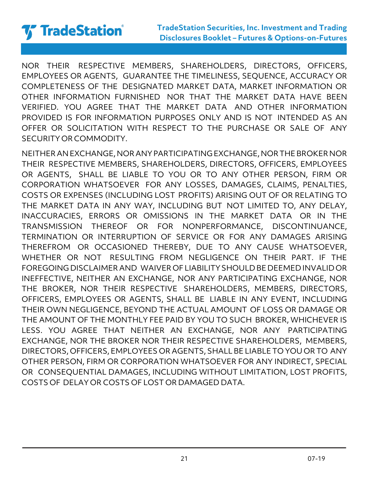NOR THEIR RESPECTIVE MEMBERS, SHAREHOLDERS, DIRECTORS, OFFICERS, EMPLOYEES OR AGENTS, GUARANTEE THE TIMELINESS, SEQUENCE, ACCURACY OR COMPLETENESS OF THE DESIGNATED MARKET DATA, MARKET INFORMATION OR OTHER INFORMATION FURNISHED NOR THAT THE MARKET DATA HAVE BEEN VERIFIED. YOU AGREE THAT THE MARKET DATA AND OTHER INFORMATION PROVIDED IS FOR INFORMATION PURPOSES ONLY AND IS NOT INTENDED AS AN OFFER OR SOLICITATION WITH RESPECT TO THE PURCHASE OR SALE OF ANY SECURITY OR COMMODITY.

NEITHER AN EXCHANGE, NOR ANY PARTICIPATING EXCHANGE, NOR THE BROKER NOR THEIR RESPECTIVE MEMBERS, SHAREHOLDERS, DIRECTORS, OFFICERS, EMPLOYEES OR AGENTS, SHALL BE LIABLE TO YOU OR TO ANY OTHER PERSON, FIRM OR CORPORATION WHATSOEVER FOR ANY LOSSES, DAMAGES, CLAIMS, PENALTIES, COSTS OR EXPENSES (INCLUDING LOST PROFITS) ARISING OUT OF OR RELATING TO THE MARKET DATA IN ANY WAY, INCLUDING BUT NOT LIMITED TO, ANY DELAY, INACCURACIES, ERRORS OR OMISSIONS IN THE MARKET DATA OR IN THE TRANSMISSION THEREOF OR FOR NONPERFORMANCE, DISCONTINUANCE, TERMINATION OR INTERRUPTION OF SERVICE OR FOR ANY DAMAGES ARISING THEREFROM OR OCCASIONED THEREBY, DUE TO ANY CAUSE WHATSOEVER, WHETHER OR NOT RESULTING FROM NEGLIGENCE ON THEIR PART. IF THE FOREGOING DISCLAIMER AND WAIVER OF LIABILITY SHOULD BE DEEMED INVALID OR INEFFECTIVE, NEITHER AN EXCHANGE, NOR ANY PARTICIPATING EXCHANGE, NOR THE BROKER, NOR THEIR RESPECTIVE SHAREHOLDERS, MEMBERS, DIRECTORS, OFFICERS, EMPLOYEES OR AGENTS, SHALL BE LIABLE IN ANY EVENT, INCLUDING THEIR OWN NEGLIGENCE, BEYOND THE ACTUAL AMOUNT OF LOSS OR DAMAGE OR THE AMOUNT OF THE MONTHLY FEE PAID BY YOU TO SUCH BROKER, WHICHEVER IS LESS. YOU AGREE THAT NEITHER AN EXCHANGE, NOR ANY PARTICIPATING EXCHANGE, NOR THE BROKER NOR THEIR RESPECTIVE SHAREHOLDERS, MEMBERS, DIRECTORS, OFFICERS, EMPLOYEES OR AGENTS, SHALL BE LIABLE TO YOU OR TO ANY OTHER PERSON, FIRM OR CORPORATION WHATSOEVER FOR ANY INDIRECT, SPECIAL OR CONSEQUENTIAL DAMAGES, INCLUDING WITHOUT LIMITATION, LOST PROFITS, COSTS OF DELAY OR COSTS OF LOST OR DAMAGED DATA.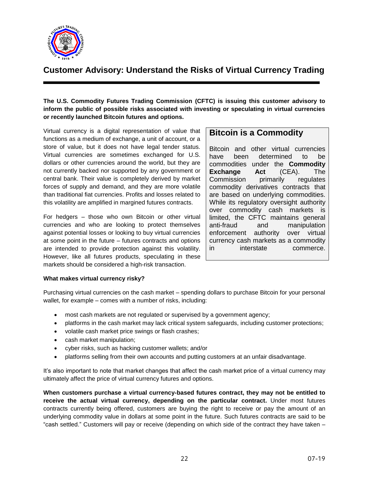<span id="page-22-0"></span>

### **Customer Advisory: Understand the Risks of Virtual Currency Trading**

#### **The U.S. Commodity Futures Trading Commission (CFTC) is issuing this customer advisory to inform the public of possible risks associated with investing or speculating in virtual currencies or recently launched Bitcoin futures and options.**

Virtual currency is a digital representation of value that functions as a medium of exchange, a unit of account, or a store of value, but it does not have legal tender status. Virtual currencies are sometimes exchanged for U.S. dollars or other currencies around the world, but they are not currently backed nor supported by any government or central bank. Their value is completely derived by market forces of supply and demand, and they are more volatile than traditional fiat currencies. Profits and losses related to this volatility are amplified in margined futures contracts.

For hedgers – those who own Bitcoin or other virtual currencies and who are looking to protect themselves against potential losses or looking to buy virtual currencies at some point in the future – futures contracts and options are intended to provide protection against this volatility. However, like all futures products, speculating in these markets should be considered a high-risk transaction.

# **Bitcoin is a Commodity**

Bitcoin and other virtual currencies have been determined to be commodities under the **Commodity Exchange Act** (CEA). The Commission primarily regulates commodity derivatives contracts that are based on underlying commodities. While its regulatory oversight authority over commodity cash markets is limited, the CFTC maintains general anti-fraud and manipulation enforcement authority over virtual currency cash markets as a commodity in interstate commerce.

#### **What makes virtual currency risky?**

Purchasing virtual currencies on the cash market – spending dollars to purchase Bitcoin for your personal wallet, for example – comes with a number of risks, including:

- most cash markets are not regulated or supervised by a government agency;
- platforms in the cash market may lack critical system safeguards, including customer protections;
- volatile cash market price swings or flash crashes;
- cash market manipulation;
- cyber risks, such as hacking customer wallets; and/or
- platforms selling from their own accounts and putting customers at an unfair disadvantage.

It's also important to note that market changes that affect the cash market price of a virtual currency may ultimately affect the price of virtual currency futures and options.

**When customers purchase a virtual currency-based futures contract, they may not be entitled to receive the actual virtual currency, depending on the particular contract.** Under most futures contracts currently being offered, customers are buying the right to receive or pay the amount of an underlying commodity value in dollars at some point in the future. Such futures contracts are said to be "cash settled." Customers will pay or receive (depending on which side of the contract they have taken –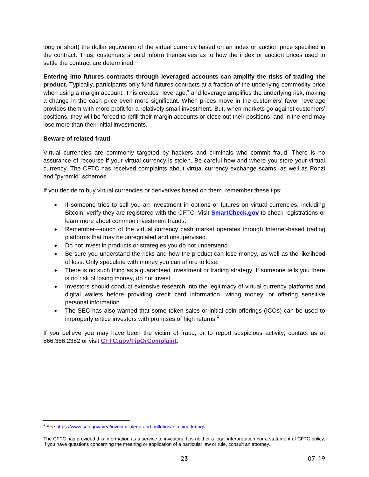long or short) the dollar equivalent of the virtual currency based on an index or auction price specified in the contract. Thus, customers should inform themselves as to how the index or auction prices used to settle the contract are determined.

**Entering into futures contracts through leveraged accounts can amplify the risks of trading the product.** Typically, participants only fund futures contracts at a fraction of the underlying commodity price when using a margin account. This creates "leverage," and leverage amplifies the underlying risk, making a change in the cash price even more significant. When prices move in the customers' favor, leverage provides them with more profit for a relatively small investment. But, when markets go against customers' positions, they will be forced to refill their margin accounts or close out their positions, and in the end may lose more than their initial investments.

#### **Beware of related fraud**

Virtual currencies are commonly targeted by hackers and criminals who commit fraud. There is no assurance of recourse if your virtual currency is stolen. Be careful how and where you store your virtual currency. The CFTC has received complaints about virtual currency exchange scams, as well as Ponzi and "pyramid" schemes.

If you decide to buy virtual currencies or derivatives based on them, remember these tips:

- If someone tries to sell you an investment in options or futures on virtual currencies, including Bitcoin, verify they are registered with the CFTC. Visit **[SmartCheck.gov](https://smartcheck.gov/check/)** to check registrations or learn more about common investment frauds.
- Remember—much of the virtual currency cash market operates through Internet-based trading platforms that may be unregulated and unsupervised.
- Do not invest in products or strategies you do not understand.
- Be sure you understand the risks and how the product can lose money, as well as the likelihood of loss. Only speculate with money you can afford to lose.
- There is no such thing as a guaranteed investment or trading strategy. If someone tells you there is no risk of losing money, do not invest.
- Investors should conduct extensive research into the legitimacy of virtual currency platforms and digital wallets before providing credit card information, wiring money, or offering sensitive personal information.
- The SEC has also warned that some token sales or initial coin offerings (ICOs) can be used to improperly entice investors with promises of high returns.<sup>1</sup>

If you believe you may have been the victim of fraud, or to report suspicious activity, contact us at 866.366.2382 or visit **[CFTC.gov/TipOrComplaint](http://www.cftc.gov/TipOrComplaint)**.

 $\overline{\phantom{a}}$ <sup>1</sup> See https://www.sec.gov/oiea/investor-alerts-and-bulletins/ib\_coinofferings.

The CFTC has provided this information as a service to investors. It is neither a legal interpretation nor a statement of CFTC policy. If you have questions concerning the meaning or application of a particular law or rule, consult an attorney.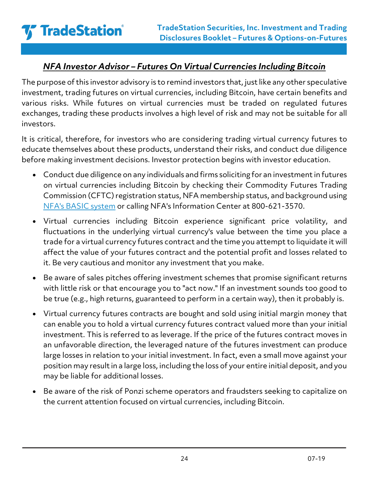# <span id="page-24-0"></span>*NFA Investor Advisor – Futures On Virtual Currencies Including Bitcoin*

The purpose of this investor advisory is to remind investors that, just like any other speculative investment, trading futures on virtual currencies, including Bitcoin, have certain benefits and various risks. While futures on virtual currencies must be traded on regulated futures exchanges, trading these products involves a high level of risk and may not be suitable for all investors.

It is critical, therefore, for investors who are considering trading virtual currency futures to educate themselves about these products, understand their risks, and conduct due diligence before making investment decisions. Investor protection begins with investor education.

- Conduct due diligence on any individuals and firms soliciting for an investment in futures on virtual currencies including Bitcoin by checking their Commodity Futures Trading Commission (CFTC) registration status, NFA membership status, and background using [NFA's BASIC system](https://www.nfa.futures.org/basicnet/) or calling NFA's Information Center at 800-621-3570.
- Virtual currencies including Bitcoin experience significant price volatility, and fluctuations in the underlying virtual currency's value between the time you place a trade for a virtual currency futures contract and the time you attempt to liquidate it will affect the value of your futures contract and the potential profit and losses related to it. Be very cautious and monitor any investment that you make.
- Be aware of sales pitches offering investment schemes that promise significant returns with little risk or that encourage you to "act now." If an investment sounds too good to be true (e.g., high returns, guaranteed to perform in a certain way), then it probably is.
- Virtual currency futures contracts are bought and sold using initial margin money that can enable you to hold a virtual currency futures contract valued more than your initial investment. This is referred to as leverage. If the price of the futures contract moves in an unfavorable direction, the leveraged nature of the futures investment can produce large losses in relation to your initial investment. In fact, even a small move against your position may result in a large loss, including the loss of your entire initial deposit, and you may be liable for additional losses.
- Be aware of the risk of Ponzi scheme operators and fraudsters seeking to capitalize on the current attention focused on virtual currencies, including Bitcoin.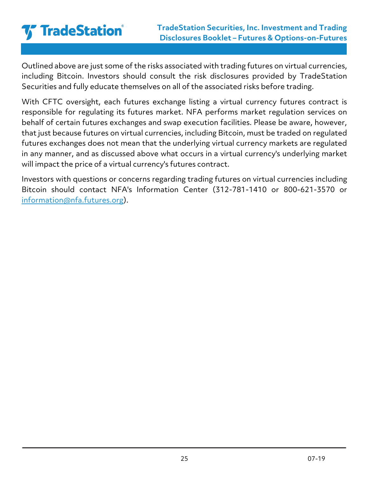Outlined above are just some of the risks associated with trading futures on virtual currencies, including Bitcoin. Investors should consult the risk disclosures provided by TradeStation Securities and fully educate themselves on all of the associated risks before trading.

With CFTC oversight, each futures exchange listing a virtual currency futures contract is responsible for regulating its futures market. NFA performs market regulation services on behalf of certain futures exchanges and swap execution facilities. Please be aware, however, that just because futures on virtual currencies, including Bitcoin, must be traded on regulated futures exchanges does not mean that the underlying virtual currency markets are regulated in any manner, and as discussed above what occurs in a virtual currency's underlying market will impact the price of a virtual currency's futures contract.

Investors with questions or concerns regarding trading futures on virtual currencies including Bitcoin should contact NFA's Information Center (312-781-1410 or 800-621-3570 or [information@nfa.futures.org\)](mailto:information@nfa.futures.org).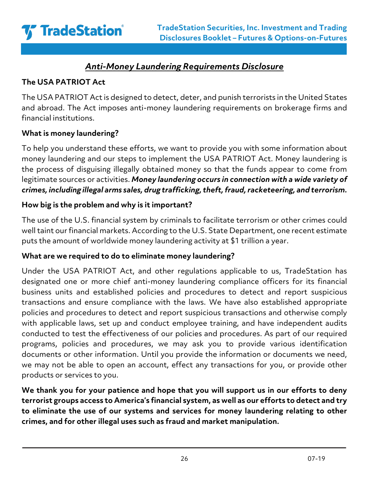## *Anti-Money Laundering Requirements Disclosure*

### <span id="page-26-0"></span>**The USA PATRIOT Act**

The USA PATRIOT Act is designed to detect, deter, and punish terrorists in the United States and abroad. The Act imposes anti-money laundering requirements on brokerage firms and financial institutions.

### **What is money laundering?**

To help you understand these efforts, we want to provide you with some information about money laundering and our steps to implement the USA PATRIOT Act. Money laundering is the process of disguising illegally obtained money so that the funds appear to come from legitimate sources or activities. *Money laundering occurs in connection with a wide variety of crimes, including illegal arms sales, drug trafficking, theft, fraud, racketeering, and terrorism.*

### **How big is the problem and why is it important?**

The use of the U.S. financial system by criminals to facilitate terrorism or other crimes could well taint our financial markets. According to the U.S. State Department, one recent estimate puts the amount of worldwide money laundering activity at \$1 trillion a year.

### **What are we required to do to eliminate money laundering?**

Under the USA PATRIOT Act, and other regulations applicable to us, TradeStation has designated one or more chief anti-money laundering compliance officers for its financial business units and established policies and procedures to detect and report suspicious transactions and ensure compliance with the laws. We have also established appropriate policies and procedures to detect and report suspicious transactions and otherwise comply with applicable laws, set up and conduct employee training, and have independent audits conducted to test the effectiveness of our policies and procedures. As part of our required programs, policies and procedures, we may ask you to provide various identification documents or other information. Until you provide the information or documents we need, we may not be able to open an account, effect any transactions for you, or provide other products or services to you.

**We thank you for your patience and hope that you will support us in our efforts to deny terrorist groups access to America's financial system, as well as our efforts to detect and try to eliminate the use of our systems and services for money laundering relating to other crimes, and for other illegal uses such as fraud and market manipulation.**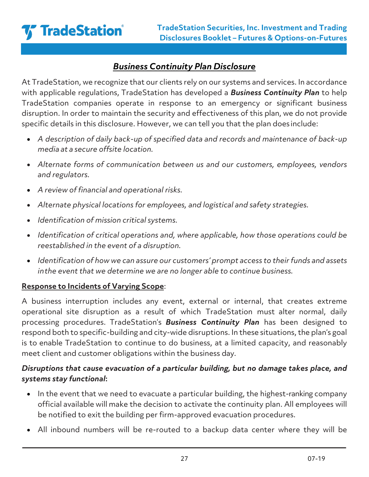# *Business Continuity Plan Disclosure*

<span id="page-27-0"></span>At TradeStation, we recognize that our clients rely on our systems and services. In accordance with applicable regulations, TradeStation has developed a *Business Continuity Plan* to help TradeStation companies operate in response to an emergency or significant business disruption. In order to maintain the security and effectiveness of this plan, we do not provide specific details in this disclosure. However, we can tell you that the plan does include:

- *A description of daily back-up of specified data and records and maintenance of back-up media at a secure offsite location.*
- *Alternate forms of communication between us and our customers, employees, vendors and regulators.*
- *A review of financial and operational risks.*
- *Alternate physical locations for employees, and logistical and safety strategies.*
- *Identification of mission critical systems.*
- *Identification of critical operations and, where applicable, how those operations could be reestablished in the event of a disruption.*
- *Identification of how we can assure our customers' prompt access to their funds and assets inthe event that we determine we are no longer able to continue business.*

### **Response to Incidents of Varying Scope**:

A business interruption includes any event, external or internal, that creates extreme operational site disruption as a result of which TradeStation must alter normal, daily processing procedures. TradeStation's *Business Continuity Plan* has been designed to respond both to specific-building and city-wide disruptions. In these situations, the plan's goal is to enable TradeStation to continue to do business, at a limited capacity, and reasonably meet client and customer obligations within the business day.

### *Disruptions that cause evacuation of a particular building, but no damage takes place, and systems stay functional***:**

- In the event that we need to evacuate a particular building, the highest-ranking company official available will make the decision to activate the continuity plan. All employees will be notified to exit the building per firm-approved evacuation procedures.
- All inbound numbers will be re-routed to a backup data center where they will be